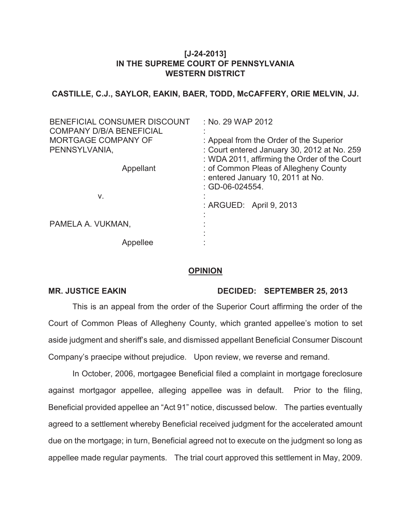## **[J-24-2013] IN THE SUPREME COURT OF PENNSYLVANIA WESTERN DISTRICT**

**CASTILLE, C.J., SAYLOR, EAKIN, BAER, TODD, McCAFFERY, ORIE MELVIN, JJ.**

| BENEFICIAL CONSUMER DISCOUNT<br><b>COMPANY D/B/A BENEFICIAL</b> | : No. 29 WAP 2012                                                                                                                      |
|-----------------------------------------------------------------|----------------------------------------------------------------------------------------------------------------------------------------|
| <b>MORTGAGE COMPANY OF</b><br>PENNSYLVANIA,                     | : Appeal from the Order of the Superior<br>: Court entered January 30, 2012 at No. 259<br>: WDA 2011, affirming the Order of the Court |
| Appellant                                                       | : of Common Pleas of Allegheny County<br>: entered January 10, 2011 at No.<br>: GD-06-024554.                                          |
| v.                                                              | : ARGUED: April 9, 2013                                                                                                                |
| PAMELA A. VUKMAN,                                               |                                                                                                                                        |
| Appellee                                                        |                                                                                                                                        |

## **OPINION**

## MR. JUSTICE EAKIN DECIDED: SEPTEMBER 25, 2013

This is an appeal from the order of the Superior Court affirming the order of the Court of Common Pleas of Allegheny County, which granted appellee's motion to set aside judgment and sheriff's sale, and dismissed appellant Beneficial Consumer Discount Company's praecipe without prejudice. Upon review, we reverse and remand.

In October, 2006, mortgagee Beneficial filed a complaint in mortgage foreclosure against mortgagor appellee, alleging appellee was in default. Prior to the filing, Beneficial provided appellee an "Act 91" notice, discussed below. The parties eventually agreed to a settlement whereby Beneficial received judgment for the accelerated amount due on the mortgage; in turn, Beneficial agreed not to execute on the judgment so long as appellee made regular payments. The trial court approved this settlement in May, 2009.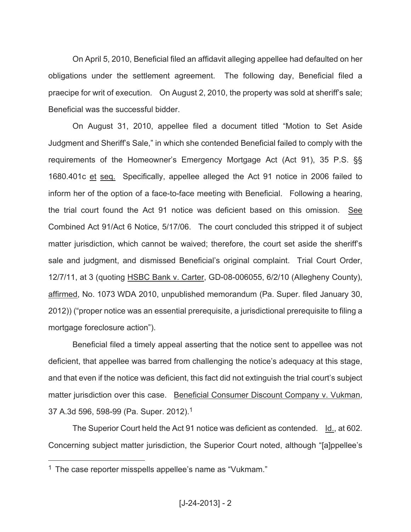On April 5, 2010, Beneficial filed an affidavit alleging appellee had defaulted on her obligations under the settlement agreement. The following day, Beneficial filed a praecipe for writ of execution. On August 2, 2010, the property was sold at sheriff's sale; Beneficial was the successful bidder.

On August 31, 2010, appellee filed a document titled "Motion to Set Aside Judgment and Sheriff's Sale," in which she contended Beneficial failed to comply with the requirements of the Homeowner's Emergency Mortgage Act (Act 91), 35 P.S. §§ 1680.401c et seq. Specifically, appellee alleged the Act 91 notice in 2006 failed to inform her of the option of a face-to-face meeting with Beneficial. Following a hearing, the trial court found the Act 91 notice was deficient based on this omission. See Combined Act 91/Act 6 Notice, 5/17/06. The court concluded this stripped it of subject matter jurisdiction, which cannot be waived; therefore, the court set aside the sheriff's sale and judgment, and dismissed Beneficial's original complaint. Trial Court Order, 12/7/11, at 3 (quoting HSBC Bank v. Carter, GD-08-006055, 6/2/10 (Allegheny County), affirmed, No. 1073 WDA 2010, unpublished memorandum (Pa. Super. filed January 30, 2012)) ("proper notice was an essential prerequisite, a jurisdictional prerequisite to filing a mortgage foreclosure action").

Beneficial filed a timely appeal asserting that the notice sent to appellee was not deficient, that appellee was barred from challenging the notice's adequacy at this stage, and that even if the notice was deficient, this fact did not extinguish the trial court's subject matter jurisdiction over this case. Beneficial Consumer Discount Company v. Vukman, 37 A.3d 596, 598-99 (Pa. Super. 2012). 1

The Superior Court held the Act 91 notice was deficient as contended. Id., at 602. Concerning subject matter jurisdiction, the Superior Court noted, although "[a]ppellee's

 $1$  The case reporter misspells appellee's name as "Vukmam."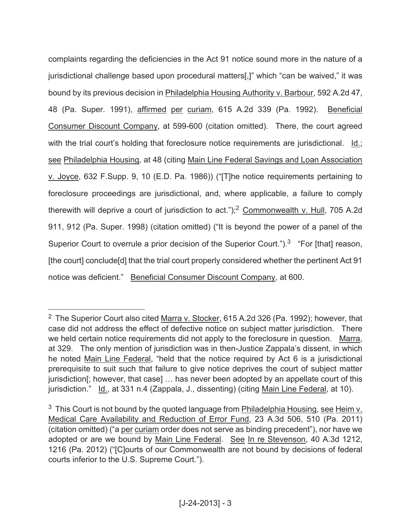complaints regarding the deficiencies in the Act 91 notice sound more in the nature of a jurisdictional challenge based upon procedural matters[,]" which "can be waived," it was bound by its previous decision in Philadelphia Housing Authority v. Barbour, 592 A.2d 47, 48 (Pa. Super. 1991), affirmed per curiam, 615 A.2d 339 (Pa. 1992). Beneficial Consumer Discount Company, at 599-600 (citation omitted). There, the court agreed with the trial court's holding that foreclosure notice requirements are jurisdictional. Id.; see Philadelphia Housing, at 48 (citing Main Line Federal Savings and Loan Association v. Joyce, 632 F.Supp. 9, 10 (E.D. Pa. 1986)) ("[T]he notice requirements pertaining to foreclosure proceedings are jurisdictional, and, where applicable, a failure to comply therewith will deprive a court of jurisdiction to act.");<sup>2</sup> Commonwealth v. Hull, 705 A.2d 911, 912 (Pa. Super. 1998) (citation omitted) ("It is beyond the power of a panel of the Superior Court to overrule a prior decision of the Superior Court.").<sup>3</sup> "For [that] reason, [the court] conclude[d] that the trial court properly considered whether the pertinent Act 91 notice was deficient." Beneficial Consumer Discount Company, at 600.

<sup>&</sup>lt;sup>2</sup> The Superior Court also cited Marra v. Stocker, 615 A.2d 326 (Pa. 1992); however, that case did not address the effect of defective notice on subject matter jurisdiction. There we held certain notice requirements did not apply to the foreclosure in question. Marra, at 329. The only mention of jurisdiction was in then-Justice Zappala's dissent, in which he noted Main Line Federal, "held that the notice required by Act 6 is a jurisdictional prerequisite to suit such that failure to give notice deprives the court of subject matter jurisdiction[; however, that case] … has never been adopted by an appellate court of this jurisdiction." Id., at 331 n.4 (Zappala, J., dissenting) (citing Main Line Federal, at 10).

<sup>&</sup>lt;sup>3</sup> This Court is not bound by the quoted language from **Philadelphia Housing, see Heim v.** Medical Care Availability and Reduction of Error Fund, 23 A.3d 506, 510 (Pa. 2011) (citation omitted) ("a per curiam order does not serve as binding precedent"), nor have we adopted or are we bound by Main Line Federal. See In re Stevenson, 40 A.3d 1212, 1216 (Pa. 2012) ("[C]ourts of our Commonwealth are not bound by decisions of federal courts inferior to the U.S. Supreme Court.").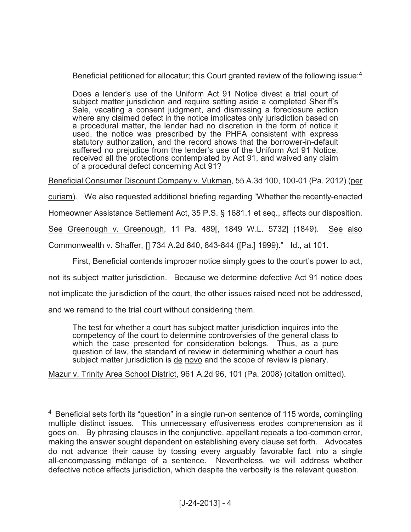Beneficial petitioned for allocatur; this Court granted review of the following issue:<sup>4</sup>

Does a lender's use of the Uniform Act 91 Notice divest a trial court of subject matter jurisdiction and require setting aside a completed Sheriff's Sale, vacating a consent judgment, and dismissing a foreclosure action where any claimed defect in the notice implicates only jurisdiction based on a procedural matter, the lender had no discretion in the form of notice it used, the notice was prescribed by the PHFA consistent with express statutory authorization, and the record shows that the borrower-in-default suffered no prejudice from the lender's use of the Uniform Act 91 Notice, received all the protections contemplated by Act 91, and waived any claim of a procedural defect concerning Act 91?

Beneficial Consumer Discount Company v. Vukman, 55 A.3d 100, 100-01 (Pa. 2012) (per

curiam). We also requested additional briefing regarding "Whether the recently-enacted

Homeowner Assistance Settlement Act, 35 P.S. § 1681.1 et seq., affects our disposition.

See Greenough v. Greenough, 11 Pa. 489[, 1849 W.L. 5732] (1849). See also

Commonwealth v. Shaffer, [] 734 A.2d 840, 843-844 ([Pa.] 1999)." Id., at 101.

First, Beneficial contends improper notice simply goes to the court's power to act,

not its subject matter jurisdiction. Because we determine defective Act 91 notice does

not implicate the jurisdiction of the court, the other issues raised need not be addressed,

and we remand to the trial court without considering them.

 $\overline{a}$ 

The test for whether a court has subject matter jurisdiction inquires into the competency of the court to determine controversies of the general class to which the case presented for consideration belongs. Thus, as a pure question of law, the standard of review in determining whether a court has subject matter jurisdiction is de novo and the scope of review is plenary.

Mazur v. Trinity Area School District, 961 A.2d 96, 101 (Pa. 2008) (citation omitted).

<sup>&</sup>lt;sup>4</sup> Beneficial sets forth its "question" in a single run-on sentence of 115 words, comingling multiple distinct issues. This unnecessary effusiveness erodes comprehension as it goes on. By phrasing clauses in the conjunctive, appellant repeats a too-common error, making the answer sought dependent on establishing every clause set forth. Advocates do not advance their cause by tossing every arguably favorable fact into a single all-encompassing mélange of a sentence. Nevertheless, we will address whether defective notice affects jurisdiction, which despite the verbosity is the relevant question.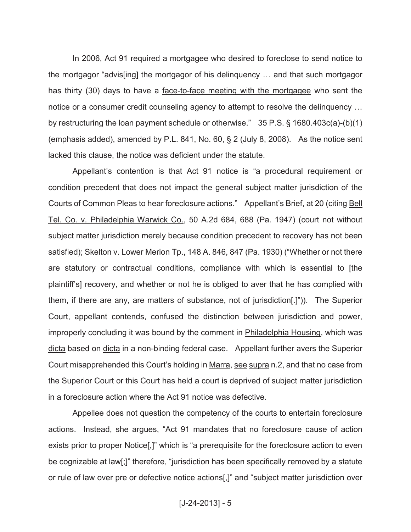In 2006, Act 91 required a mortgagee who desired to foreclose to send notice to the mortgagor "advis[ing] the mortgagor of his delinquency … and that such mortgagor has thirty (30) days to have a face-to-face meeting with the mortgagee who sent the notice or a consumer credit counseling agency to attempt to resolve the delinquency … by restructuring the loan payment schedule or otherwise." 35 P.S. § 1680.403c(a)-(b)(1) (emphasis added), amended by P.L. 841, No. 60,  $\S$  2 (July 8, 2008). As the notice sent lacked this clause, the notice was deficient under the statute.

Appellant's contention is that Act 91 notice is "a procedural requirement or condition precedent that does not impact the general subject matter jurisdiction of the Courts of Common Pleas to hear foreclosure actions." Appellant's Brief, at 20 (citing Bell Tel. Co. v. Philadelphia Warwick Co., 50 A.2d 684, 688 (Pa. 1947) (court not without subject matter jurisdiction merely because condition precedent to recovery has not been satisfied); Skelton v. Lower Merion Tp., 148 A. 846, 847 (Pa. 1930) ("Whether or not there are statutory or contractual conditions, compliance with which is essential to [the plaintiff's] recovery, and whether or not he is obliged to aver that he has complied with them, if there are any, are matters of substance, not of jurisdiction[.]")). The Superior Court, appellant contends, confused the distinction between jurisdiction and power, improperly concluding it was bound by the comment in Philadelphia Housing, which was dicta based on dicta in a non-binding federal case. Appellant further avers the Superior Court misapprehended this Court's holding in Marra, see supra n.2, and that no case from the Superior Court or this Court has held a court is deprived of subject matter jurisdiction in a foreclosure action where the Act 91 notice was defective.

Appellee does not question the competency of the courts to entertain foreclosure actions. Instead, she argues, "Act 91 mandates that no foreclosure cause of action exists prior to proper Notice[,]" which is "a prerequisite for the foreclosure action to even be cognizable at law[;]" therefore, "jurisdiction has been specifically removed by a statute or rule of law over pre or defective notice actions[,]" and "subject matter jurisdiction over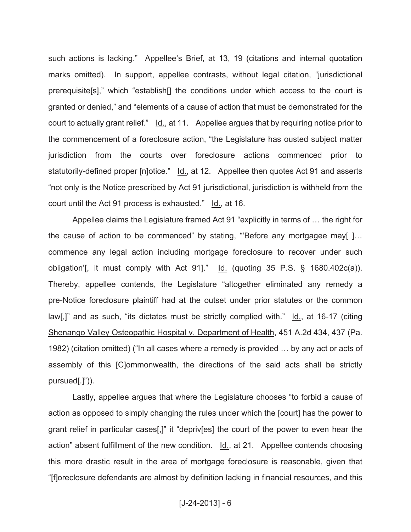such actions is lacking." Appellee's Brief, at 13, 19 (citations and internal quotation marks omitted). In support, appellee contrasts, without legal citation, "jurisdictional prerequisite[s]," which "establish[] the conditions under which access to the court is granted or denied," and "elements of a cause of action that must be demonstrated for the court to actually grant relief." Id., at 11. Appellee argues that by requiring notice prior to the commencement of a foreclosure action, "the Legislature has ousted subject matter jurisdiction from the courts over foreclosure actions commenced prior to statutorily-defined proper [n]otice." Id., at 12. Appellee then quotes Act 91 and asserts "not only is the Notice prescribed by Act 91 jurisdictional, jurisdiction is withheld from the court until the Act 91 process is exhausted." Id., at 16.

Appellee claims the Legislature framed Act 91 "explicitly in terms of … the right for the cause of action to be commenced" by stating, "'Before any mortgagee may[ ]… commence any legal action including mortgage foreclosure to recover under such obligation'[, it must comply with Act 91]."  $\text{Id.}$  (quoting 35 P.S. § 1680.402c(a)). Thereby, appellee contends, the Legislature "altogether eliminated any remedy a pre-Notice foreclosure plaintiff had at the outset under prior statutes or the common law[,]" and as such, "its dictates must be strictly complied with."  $Id.$ , at 16-17 (citing Shenango Valley Osteopathic Hospital v. Department of Health, 451 A.2d 434, 437 (Pa. 1982) (citation omitted) ("In all cases where a remedy is provided … by any act or acts of assembly of this [C]ommonwealth, the directions of the said acts shall be strictly pursued[.]")).

Lastly, appellee argues that where the Legislature chooses "to forbid a cause of action as opposed to simply changing the rules under which the [court] has the power to grant relief in particular cases[,]" it "depriv[es] the court of the power to even hear the action" absent fulfillment of the new condition.  $Id.$ , at 21. Appellee contends choosing this more drastic result in the area of mortgage foreclosure is reasonable, given that "[f]oreclosure defendants are almost by definition lacking in financial resources, and this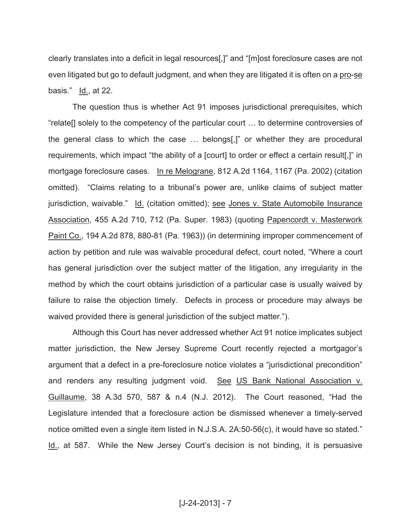clearly translates into a deficit in legal resources[,]" and "[m]ost foreclosure cases are not even litigated but go to default judgment, and when they are litigated it is often on a pro-se basis."  $\underline{Id}$ , at 22.

The question thus is whether Act 91 imposes jurisdictional prerequisites, which "relate[] solely to the competency of the particular court … to determine controversies of the general class to which the case … belongs[,]" or whether they are procedural requirements, which impact "the ability of a [court] to order or effect a certain result[,]" in mortgage foreclosure cases. In re Melograne, 812 A.2d 1164, 1167 (Pa. 2002) (citation omitted). "Claims relating to a tribunal's power are, unlike claims of subject matter jurisdiction, waivable." Id. (citation omitted); see Jones v. State Automobile Insurance Association, 455 A.2d 710, 712 (Pa. Super. 1983) (quoting Papencordt v. Masterwork Paint Co., 194 A.2d 878, 880-81 (Pa. 1963)) (in determining improper commencement of action by petition and rule was waivable procedural defect, court noted, "Where a court has general jurisdiction over the subject matter of the litigation, any irregularity in the method by which the court obtains jurisdiction of a particular case is usually waived by failure to raise the objection timely. Defects in process or procedure may always be waived provided there is general jurisdiction of the subject matter.").

Although this Court has never addressed whether Act 91 notice implicates subject matter jurisdiction, the New Jersey Supreme Court recently rejected a mortgagor's argument that a defect in a pre-foreclosure notice violates a "jurisdictional precondition" and renders any resulting judgment void. See US Bank National Association v. Guillaume, 38 A.3d 570, 587 & n.4 (N.J. 2012). The Court reasoned, "Had the Legislature intended that a foreclosure action be dismissed whenever a timely-served notice omitted even a single item listed in N.J.S.A. 2A:50-56(c), it would have so stated." Id., at 587. While the New Jersey Court's decision is not binding, it is persuasive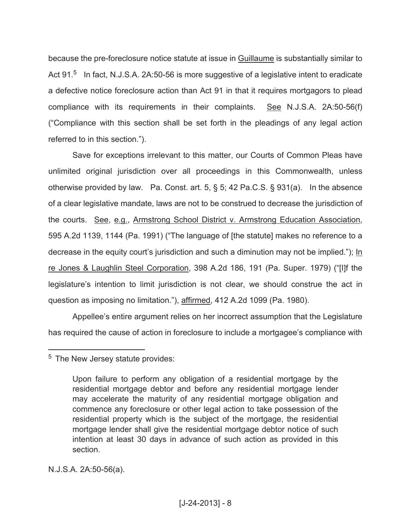because the pre-foreclosure notice statute at issue in **Guillaume** is substantially similar to Act 91.<sup>5</sup> In fact, N.J.S.A. 2A:50-56 is more suggestive of a legislative intent to eradicate a defective notice foreclosure action than Act 91 in that it requires mortgagors to plead compliance with its requirements in their complaints. See N.J.S.A. 2A:50-56(f) ("Compliance with this section shall be set forth in the pleadings of any legal action referred to in this section.").

Save for exceptions irrelevant to this matter, our Courts of Common Pleas have unlimited original jurisdiction over all proceedings in this Commonwealth, unless otherwise provided by law. Pa. Const. art. 5, § 5; 42 Pa.C.S. § 931(a). In the absence of a clear legislative mandate, laws are not to be construed to decrease the jurisdiction of the courts. See, e.g., Armstrong School District v. Armstrong Education Association, 595 A.2d 1139, 1144 (Pa. 1991) ("The language of [the statute] makes no reference to a decrease in the equity court's jurisdiction and such a diminution may not be implied."); In re Jones & Laughlin Steel Corporation, 398 A.2d 186, 191 (Pa. Super. 1979) ("[I]f the legislature's intention to limit jurisdiction is not clear, we should construe the act in question as imposing no limitation."), affirmed, 412 A.2d 1099 (Pa. 1980).

Appellee's entire argument relies on her incorrect assumption that the Legislature has required the cause of action in foreclosure to include a mortgagee's compliance with

N.J.S.A. 2A:50-56(a).

<sup>5</sup> The New Jersey statute provides:

Upon failure to perform any obligation of a residential mortgage by the residential mortgage debtor and before any residential mortgage lender may accelerate the maturity of any residential mortgage obligation and commence any foreclosure or other legal action to take possession of the residential property which is the subject of the mortgage, the residential mortgage lender shall give the residential mortgage debtor notice of such intention at least 30 days in advance of such action as provided in this section.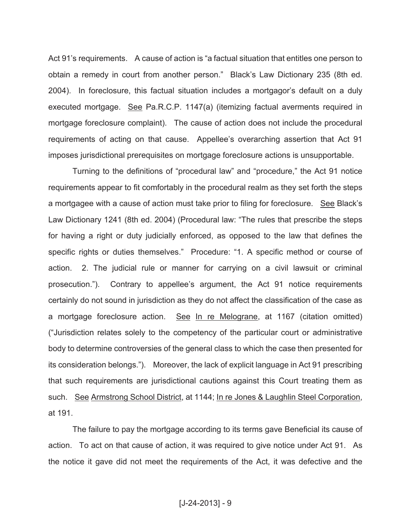Act 91's requirements. A cause of action is "a factual situation that entitles one person to obtain a remedy in court from another person." Black's Law Dictionary 235 (8th ed. 2004). In foreclosure, this factual situation includes a mortgagor's default on a duly executed mortgage. See Pa.R.C.P. 1147(a) (itemizing factual averments required in mortgage foreclosure complaint). The cause of action does not include the procedural requirements of acting on that cause. Appellee's overarching assertion that Act 91 imposes jurisdictional prerequisites on mortgage foreclosure actions is unsupportable.

Turning to the definitions of "procedural law" and "procedure," the Act 91 notice requirements appear to fit comfortably in the procedural realm as they set forth the steps a mortgagee with a cause of action must take prior to filing for foreclosure. See Black's Law Dictionary 1241 (8th ed. 2004) (Procedural law: "The rules that prescribe the steps for having a right or duty judicially enforced, as opposed to the law that defines the specific rights or duties themselves." Procedure: "1. A specific method or course of action. 2. The judicial rule or manner for carrying on a civil lawsuit or criminal prosecution."). Contrary to appellee's argument, the Act 91 notice requirements certainly do not sound in jurisdiction as they do not affect the classification of the case as a mortgage foreclosure action. See In re Melograne, at 1167 (citation omitted) ("Jurisdiction relates solely to the competency of the particular court or administrative body to determine controversies of the general class to which the case then presented for its consideration belongs."). Moreover, the lack of explicit language in Act 91 prescribing that such requirements are jurisdictional cautions against this Court treating them as such. See Armstrong School District, at 1144; In re Jones & Laughlin Steel Corporation, at 191.

The failure to pay the mortgage according to its terms gave Beneficial its cause of action. To act on that cause of action, it was required to give notice under Act 91. As the notice it gave did not meet the requirements of the Act, it was defective and the